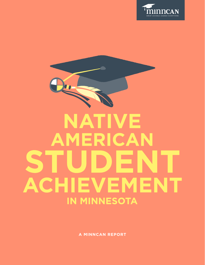



# NATIVE AMERICAN Е۱ ACHIEVEMENT **IN MINNESOTA**

**A MINNCAN REPORT**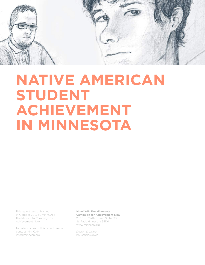

# **NATIVE AMERICAN STUDENT ACHIEVEMENT IN MINNESOTA**

This report was published in October 2013 by MinnCAN: The Minnesota Campaign for Achievement Now

To order copies of this report please contact MinnCAN: info@minncan.org

**MinnCAN: The Minnesota Campaign for Achievement Now** 287 East Sixth Street, Suite 513 St. Paul, Minnesota 55101 www.minncan.org

*Design & Layout* house9design.ca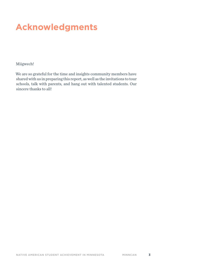## **Acknowledgments**

Miigwech!

We are so grateful for the time and insights community members have shared with us in preparing this report, as well as the invitations to tour schools, talk with parents, and hang out with talented students. Our sincere thanks to all!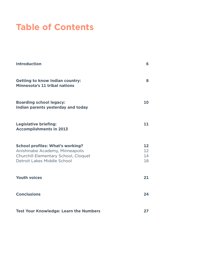### **Table of Contents**

| <b>Introduction</b>                                                                                                                               | 6                    |
|---------------------------------------------------------------------------------------------------------------------------------------------------|----------------------|
| <b>Getting to know Indian country:</b><br>Minnesota's 11 tribal nations                                                                           | 8                    |
| <b>Boarding school legacy:</b><br>Indian parents yesterday and today                                                                              | 10                   |
| <b>Legislative briefing:</b><br><b>Accomplishments in 2013</b>                                                                                    | 11                   |
| <b>School profiles: What's working?</b><br>Anishinabe Academy, Minneapolis<br>Churchill Elementary School, Cloquet<br>Detroit Lakes Middle School | 12<br>12<br>14<br>18 |
| <b>Youth voices</b>                                                                                                                               | 21                   |
| <b>Conclusions</b>                                                                                                                                | 24                   |
| <b>Test Your Knowledge: Learn the Numbers</b>                                                                                                     | 27                   |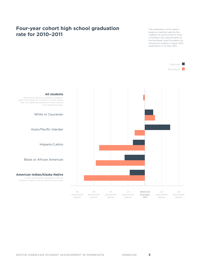### **Four-year cohort high school graduation rate for 2010–2011**

The presentation of this data is based on methods used by the Coalition of Communities of Color in Portland, Ore. Special thanks to the Northwest Area Foundation for hosting the Coalition's August 2013 presentation in St. Paul, Minn.

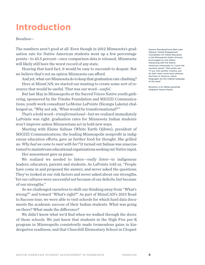## **Introduction**

Boozhoo—

The numbers aren't good at all. Even though in 2012 Minnesota's graduation rate for Native American students went up a few percentage points—to 45.5 percent—once comparison data is released, Minnesota will likely still have the worst record of any state.

Hearing that hard fact, it would be easy to succumb to despair. But we believe that's not an option Minnesota can afford.

And yet, what *can* Minnesota do to keep that graduation rate climbing? Here at MinnCAN, we started out wanting to create some sort of resource that would be useful. That was our word—*useful*.

But last May in Minneapolis at the Sacred Voices Native youth gathering, sponsored by the Tiwahe Foundation and MIGIZI Communications, youth work consultant LeMoine LaPointe (Sicangu Lakota) challenged us, "Why not ask, 'What would be transformational?'"

That's a bold word—*transformational*—but we realized immediately LaPointe was right: graduation rates for Minnesota Indian students won't improve unless Minnesotans act in bold new ways.

Meeting with Elaine Salinas (White Earth Ojibwe), president of MIGIZI Communications, the leading Minneapolis nonprofit in indigenous education efforts, gave us further food for thought. She grilled us: *Why had we come to meet with her?* It turned out Salinas was unaccustomed to mainstream educational organizations seeking out Native input.

Her assessment gave us pause.

We realized we needed to listen—*really listen*—to indigenous leaders, educators, parents and students. As LaPointe told us, "People have come in and proposed the answer, and never asked the questions. They've looked at our risk factors and never asked about our strengths. Yet our cultures were successful not because of our deficits, but because of our strengths."

So we challenged ourselves to shift our thinking away from "What's wrong?" and toward "What's right?" As part of MinnCAN's 2013 Road to Success tour, we were able to visit schools for which hard data documents the academic success of their Indian students. What was going on there? What made the difference?

We didn't know what we'd find when we walked through the doors of those schools. We just knew that students in the High Five pre-K program in Minneapolis consistently made tremendous gains in kindergarten readiness, and that Churchill Elementary School in Cloquet

Deanna StandingCloud (Red Lake Ojibwe), Family Engagement Coordinator for Indian Education in the Minneapolis Public Schools, encouraged us, and others interacting with the Native American community, to "Learn the courtesy words." She points out, "If you visit another country, you do that—learn some basic phrases. And here in America, native languages are the original language of this land."

Boozhoo is an Ojibwe greeting; miigwech means thanks.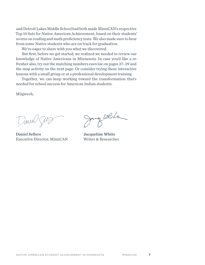and Detroit Lakes Middle School had both made MinnCAN's respective Top 10 lists for Native American Achievement, based on their students' scores on reading and math proficiency tests. We also made sure to hear from some Native students who are on track for graduation.

We're eager to share with you what we discovered.

But first, before we got started, we realized we needed to review our knowledge of Native Americans in Minnesota. In case you'd like a refresher also, try out the matching numbers exercise on pages 27–29 and the map activity on the next page. Or consider trying these interactive lessons with a small group or at a professional development training.

Together, we can keep working toward the transformation that's needed for school success for American Indian students.

Miigwech,

*Janie* 

Daniel Sellers Executive Director, MinnCAN

of Whe

Jacqueline White Writer & Researcher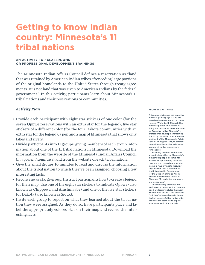### **Getting to know Indian country: Minnesota's 11 tribal nations**

#### **AN ACTIVITY FOR CLASSROOMS OR PROFESSIONAL DEVELOPMENT TRAININGS**

The Minnesota Indian Affairs Council defines a reservation as "land that was retained by American Indian tribes after ceding large portions of the original homelands to the United States through treaty agreements. It is not land that was given to American Indians by the federal government." In this activity, participants learn about Minnesota's 11 tribal nations and their reservations or communities.

#### *Activity Plan*

- Provide each participant with eight star stickers of one color (for the seven Ojibwe reservations with an extra star for the legend), five star stickers of a different color (for the four Dakota communities with an extra star for the legend), a pen and a map of Minnesota that shows only lakes and rivers.
- Divide participants into 11 groups, giving members of each group information about one of the 11 tribal nations in Minnesota. Download the information from the website of the Minnesota Indian Affairs Council (*mn.gov/indianaffairs*) and from the website of each tribal nation.
- Give the small groups 10 minutes to read and discuss the information about the tribal nation to which they've been assigned, choosing a few interesting facts.
- Reconvene as a large group. Instruct participants how to create a legend for their map: Use one of the eight star stickers to indicate Ojibwe (also known as Chippewa and Anishinaabe) and one of the five star stickers for Dakota (also known as Sioux).
- Invite each group to report on what they learned about the tribal nation they were assigned. As they do so, have participants place and label the appropriately colored star on their map and record the interesting facts.

#### **ABOUT THE ACTIVITIES**

This map activity and the matching numbers game (page 27-29) are based on lessons created by Louise Matson (White Earth Ojibwe). She led small groups of teachers in doing the lessons at "Best Practices for Teaching Native Students," a professional development training put on by the Indian Education Department of the Minneapolis Public Schools in August 2013, in partnership with Phillips Indian Educators, a group of Native educators in Minneapolis.

Providing teachers with background information on Minnesota's indigenous people became, for Matson, an opportunity to showcase a project-based approach to learning. "We try not to lecture," says Matson, who is director of Youth Leadership Development for the Division of Indian Work, Greater Minneapolis Council of Churches. "Experiential learning is more engaging."

"Incorporating activities and working as a group for the common good are learning styles that work well for a lot of kids," she observes, "but they've been shown to be particularly successful for Native kids. We want the teachers to experience what works for our kids."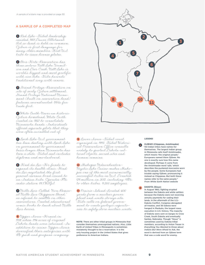#### **A SAMPLE OF A COMPLETED MAP**

**<sup>1</sup>** Red Lake—Tribal leadership resisted 1887 Dawes Allotment Act so land is held in common. Ojibwe is first language for many older members. First U.S. tribe to issue license plates.

**<sup>2</sup>** Bois Forte—Reservation has three sectors: Nett Lake, Vermilion and Deer Creek. Nett Lake is world's biggest and most prolific wild rice lake. Tribe harvests traditional way with canoes.

**<sup>3</sup>** Grand Portage—Reservation on site of early Ojibwe settlement. Grand Portage National Monument (built on reservation land) features reconstructed 1700s fur trade fort.

**<sup>4</sup>** White Earth—Never an historic Ojibwe homeland, White Earth created in 1867 to consolidate Minnesota bands. Individuals offered separate plots that they were often swindled out of.

**<sup>5</sup>** Leech Lake—U.S. government has been dealing with Leech Lake on government-to-government basis longer than Minnesota has been a state. Tribal seal includes diploma and mortarboard.

**<sup>6</sup>** Fond du Lac—For funds to expand its health clinic, Fond du Lac negotiated the first general revenue bond issued to an Indian tribe. Operates FM radio station 89.1 WGZS.

**7** Mille Lacs—Called "Non-Removal Mille Lacs Chippewa Band," as refused to resettle on other reservations. Created educational comic books to teach about Mille Lacs heroes.

**8** Upper Sioux—Formed in 1938 when 746 acres of original Dakota lands were returned. In addition to casino, Upper Sioux diversified their enterprises with RV park and propane company.



**1**

**8**

**9**

**<sup>4</sup> <sup>5</sup>**

**<sup>10</sup>** Shakopee Mdewakanton— Mystic Lake Casino makes Shakopee one of the most economically successful tribes in U.S. Donated \$29 million in 2012, including \$15M to other tribes. 4,200 employees.

**<sup>11</sup>** Prairie Island—Located 600 yards from a nuclear power plant and waste storage site. Tribe calls on federal government to create geologic repositories to safely store nuclear waste.

**NOTE**: There are other tribal groups in Minnesota that consider themselves unrecognized nations. Also, Little Earth of United Tribes in Minneapolis is sometimes mistakenly thought to be a reservation. It is the only housing project in the United States that gives preference to American Indians.

#### **LEGEND**

**2**

**7**

**10**

**6**

**11**

**3**

**OJIBWE (Chippewa, Anishinaabe)** "All Indian tribes have names for themselves. The largest Indian group in Minnesota calls itself Anishinaabe, which means 'the original people.' Europeans named them Ojibwe. No one is exactly sure how this name developed. Perhaps it came from the Anishinaabe word 'ojib,' which describes the puckered moccasins worn by the people. Some Europeans had trouble saying Ojibwe, pronouncing it instead as Chippewa. But both these names refer to the same people." *From White Earth Nation website*

**DAKOTA (Sioux)** In August 1862, fighting erupted between the Dakota and white settlers because the Dakota were not receiving annuity payments for ceding their lands. In the aftermath of the U.S.- Dakota Conflict, Congress abrogated all treaties, and 38 Dakota were hanged in Mankato, the largest mass execution in U.S. history. The majority of Dakota were sent on barges to Crow Creek, South Dakota and eventually Santee, Nebraska. Though "Sioux" is sometimes used by Dakota tribal members, according to Anton Treuer in *Everything You Wanted to Know about Indians But Were Afraid to Ask*, the word is derived from an Ojibwe term that was a code word for enemy.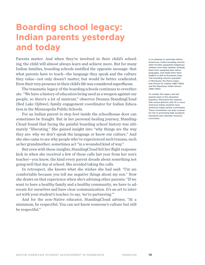### **Boarding school legacy: Indian parents yesterday and today**

Parents matter. And when they're involved in their child's schooling, the child will almost always learn and achieve more. But for many Indian families, boarding schools instilled the opposite message: that what parents have to teach—the language they speak and the culture they value—not only doesn't matter, but would be better eradicated. Even their very presence in their child's life was considered superfluous.

The traumatic legacy of the boarding schools continues to reverberate. "We have a history of education being used as a weapon against our people, so there's a lot of mistrust," observes Deanna StandingCloud (Red Lake Ojibwe), family engagement coordinator for Indian Education in the Minneapolis Public Schools.

For an Indian parent to step foot inside the schoolhouse door can sometimes be fraught. But in her personal healing journey, Standing-Cloud found that facing the painful boarding school history was ultimately "liberating." She gained insight into "why things are the way they are: why we don't speak the language or know our culture." And she also came to see why people who've experienced such trauma, such as her grandmother, sometimes act "in a wounded kind of way."

But even with those insights, StandingCloud felt her flight response kick in when she received a few of those calls last year from her son's teacher—you know, the kind every parent dreads about something not going well that day at school. She avoided taking the calls.

In retrospect, she knows what she wishes she had said: "I'm uncomfortable because you tell me negative things about my son." Now she draws on that experience when she's advising other parents: "If we want to have a healthy family and a healthy community, we have to advocate for ourselves and have clear communication. It's an art to interact with your student's teacher, to say, 'we're partnering.'"

And for the non-Native educator, StandingCloud advises, "At a minimum, be respectful. You can not know someone's culture but still be respectful."

In an attempt to assimilate Native Americans, Indian boarding schools often forcibly separated indigenous children from their families, forbade them from speaking their native languages, and made them learn English as well as European ways. Two boarding schools operated in Minnesota: the Morris Industrial School for Indians (1887–1909) and the Pipestone Indian School (1892–1953).

To counter this legacy and put parents back in the education equation, Minnesota law requires that school districts with 10 or more American Indian students have American Indian parent committees. These committees can play a powerful role in promoting high academic standards and culturally inclusive curriculum.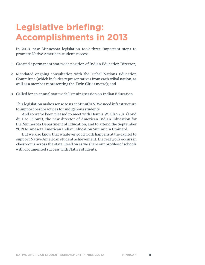### **Legislative briefing: Accomplishments in 2013**

In 2013, new Minnesota legislation took three important steps to promote Native American student success:

- 1. Created a permanent statewide position of Indian Education Director;
- 2. Mandated ongoing consultation with the Tribal Nations Education Committee (which includes representatives from each tribal nation, as well as a member representing the Twin Cities metro); and
- 3. Called for an annual statewide listening session on Indian Education.

This legislation makes sense to us at MinnCAN. We need infrastructure to support best practices for indigenous students.

And so we've been pleased to meet with Dennis W. Olson Jr. (Fond du Lac Ojibwe), the new director of American Indian Education for the Minnesota Department of Education, and to attend the September 2013 Minnesota American Indian Education Summit in Brainerd.

But we also know that whatever good work happens at the capitol to support Native American student achievement, the real work occurs in classrooms across the state. Read on as we share our profiles of schools with documented success with Native students.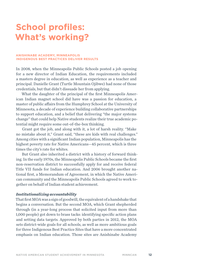### **School profiles: What's working?**

#### **ANISHINABE ACADEMY, MINNEAPOLIS INDIGENOUS BEST PRACTICES DELIVER RESULTS**

In 2008, when the Minneapolis Public Schools posted a job opening for a new director of Indian Education, the requirements included a masters degree in education, as well as experience as a teacher and principal. Danielle Grant (Turtle Mountain Ojibwe) had none of those credentials, but that didn't dissuade her from applying.

What the daughter of the principal of the first Minneapolis American Indian magnet school did have was a passion for education, a master of public affairs from the Humphrey School at the University of Minnesota, a decade of experience building collaborative partnerships to support education, and a belief that delivering "the major systems change" that could help Native students realize their true academic potential might require some out-of-the-box thinking.

Grant got the job, and along with it, a lot of harsh reality. "Make no mistake about it," Grant said, "these are kids with real challenges." Among cities with a significant Indian population, Minneapolis has the highest poverty rate for Native Americans—45 percent, which is three times the city's rate for whites.

But Grant also inherited a district with a history of forward thinking. In the early 1970s, the Minneapolis Public Schools became the first non-reservation district to successfully apply for and receive federal Title VII funds for Indian education. And 2006 brought another national first, a Memorandum of Agreement, in which the Native American community and the Minneapolis Public Schools agreed to work together on behalf of Indian student achievement.

#### *Institutionalizing accountability*

That first MOA was a sign of goodwill, the equivalent of a handshake that begins a conversation. But the second MOA, which Grant shepherded through (in a year-long process that solicited input from more than 1,000 people) got down to brass tacks: identifying specific action plans and setting data targets. Approved by both parties in 2012, the MOA sets district-wide goals for all schools, as well as more ambitious goals for three Indigenous Best Practice Sites that have a more concentrated emphasis on Indian education. Those sites are Anishinabe Academy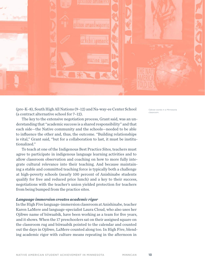

(pre-K–8), South High All Nations (9–12) and Na-way-ee Center School (a contract alternative school for 7–12).

The key to the extensive negotiation process, Grant said, was an understanding that "academic success is a shared responsibility" and that each side—the Native community and the schools—needed to be able to influence the other and, thus, the outcome. "Building relationships is vital," Grant said, "but for a collaboration to last, it must be institutionalized."

To teach at one of the Indigenous Best Practice Sites, teachers must agree to participate in indigenous language learning activities and to allow classroom observation and coaching on how to more fully integrate cultural relevance into their teaching. And because maintaining a stable and committed teaching force is typically both a challenge at high-poverty schools (nearly 100 percent of Anishinabe students qualify for free and reduced price lunch) and a key to their success, negotiations with the teacher's union yielded protection for teachers from being bumped from the practice sites.

#### *Language immersion creates academic rigor*

In the High Five language-immersion classroom at Anishinabe, teacher Karen LaMere and language-specialist Laura Cloud, who also uses her Ojibwe name of biiwaabik, have been working as a team for five years, and it shows. When the 17 preschoolers sat on their assigned square on the classroom rug and biiwaabik pointed to the calendar and counted out the days in Ojibwe, LaMere counted along too. In High Five, blending academic rigor with culture means repeating in the afternoon in

Ojibwe words in a Minnesota classroom.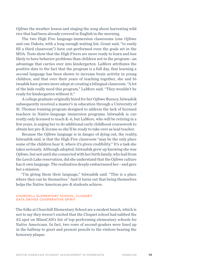Ojibwe the weather lesson and singing the song about harvesting wild rice that had been already covered in English in the morning.

The two High Five language-immersion classrooms (one Ojibwe and one Dakota, with a long enough waiting list, Grant said, "to easily fill a third classroom") have out-performed even the goals set in the MOA. Tests show that the High Fivers are more ready to learn and less likely to have behavior problems than children not in the program—an advantage that carries over into kindergarten. LaMere attributes the positive data to the fact that the program is a full day, that learning a second language has been shown to increase brain activity in young children, and that over their years of teaching together, she and biiwaabik have grown more adept at creating a bilingual classroom. "A lot of the kids really need this program," LaMere said. "They wouldn't be ready for kindergarten without it."

A college graduate originally hired for her Ojibwe fluency, biiwaabik subsequently received a master's in education through a University of St. Thomas training program designed to address the lack of licensed teachers in Native-language immersion programs. biiwaabik is currently only licensed to teach K–6, but LaMere, who will be retiring in a few years, is urging her to do additional early childhood coursework to obtain her pre-K license so she'll be ready to take over as lead teacher.

Because the Ojibwe language is in danger of dying out, the reality, biiwaabik said, is that the High Five classroom "may be the only place some of the children hear it, where it's given credibility." It's a task she takes seriously. Although adopted, biiwaabik grew up knowing she was Ojibwe, but not until she connected with her birth family, who hail from the Leech Lake reservation, did she understand that the Ojibwe culture has it own language. The realization deeply embarrassed her—and gave her a mission.

"I'm giving them their language," biiwaabik said. "This is a place where they can be themselves." And it turns out that being themselves helps the Native American pre-K students achieve.

#### **CHURCHILL ELEMENTARY SCHOOL, CLOQUET DATA DRIVES COOPERATIVE SPIRIT**

The folks at Churchill Elementary School are a modest bunch, which is not to say they weren't excited that the Cloquet school had nabbed the #2 spot on MinnCAN's list of top-performing elementary schools for Native Americans. In fact, two rows of second-graders were lined up in the hallway to greet and present pencils to the visitors bearing the honorary plaque.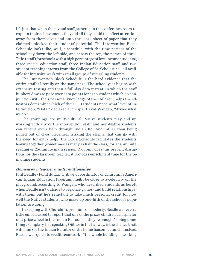It's just that when the pivotal staff gathered in the conference room to explain their achievement, they did all they could to deflect attention away from themselves and onto the 11×14 sheet of paper that they claimed unlocked their students' potential. The Intervention Block Schedule looks like, well, a schedule, with the time periods of the school day down the left side, and across the top, the names of three Title 1 staff (for schools with a high percentage of low-income students), three special education staff, three Indian Education staff, and two student teaching interns from the College of St. Scholastica—all available for intensive work with small groups of struggling students.

The Intervention Block Schedule is the hard evidence that the entire staff is literally on the same page. The school year begins with extensive testing and then a full-day data retreat, in which the staff hunkers down to pore over data points for each student which, in conjunction with their personal knowledge of the children, helps the educators determine which of their 530 students need what level of intervention. "Data," declared Principal David Wangen, "drives what we do."

The groupings are multi-cultural: Native students may end up working with any of the intervention staff, and non-Native students can receive extra help through Indian Ed. And rather than being pulled out of class piecemeal (risking the stigma that can go with the need for extra help), the Block Schedule facilitates the students leaving together (sometimes as many as half the class) for a 50-minute reading or 25-minute math session. Not only does this prevent disruptions for the classroom teacher, it provides enrichment time for the remaining students.

#### *Homegrown teacher builds relationships*

Phil Beadle (Fond du Lac Ojibwe), coordinator of Churchill's American Indian Education Program, might be close to a celebrity on the playground, according to Wangen, who described students as bereft when Beadle isn't outside to organize games (and build relationships) with them, but he's reluctant to take much personal credit for how well the Native students, who make up one-fifth of the school's population, are doing.

In keeping with Churchill's premium on modesty, Beadle was even a little embarrassed to report that one of the prizes children can spin for on a prize wheel in the Indian Ed room, if they're "caught" doing something exemplary, like speaking Ojibwe in the hallway, is the chance to sit with him (or the Indian Ed tutor or the home liaison) at lunch. Instead, Beadle was quick to credit teamwork—"the whole building is working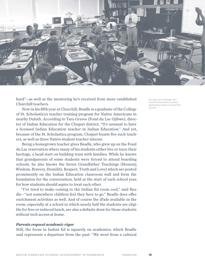

hard"—as well as the mentoring he's received from more established Churchill teachers.

Now in his fifth year at Churchill, Beadle is a graduate of the College of St. Scholastica's teacher training program for Native Americans in nearby Duluth. According to Tara Graves (Fond du Lac Ojibwe), director of Indian Education for the Cloquet district, "It's unusual to have a licensed Indian Education teacher in Indian Education." And yet, because of the St. Scholastica program, Cloquet boasts five such teachers, as well as three Native student teacher interns.

Being a homegrown teacher gives Beadle, who grew up on the Fond du Lac reservation where many of his students either live or trace their heritage, a head start on building trust with families. While he knows that grandparents of some students were forced to attend boarding schools, he also knows the Seven Grandfather Teachings (Honesty, Wisdom, Bravery, Humility, Respect, Truth and Love) which are posted prominently on the Indian Education classroom wall and form the foundation for the conversation, held at the start of each school year, for how students should aspire to treat each other.

"I've tried to make coming to the Indian Ed room cool," said Beadle—"not somewhere children feel they *have* to go." Beadle does offer enrichment activities as well. And of course the iPads available in the room, especially at a school in which nearly half the students are eligible for free or reduced lunch, are also a definite draw for those students without tech access at home.

#### *Parents request academic rigor*

Still, the focus in Indian Ed is squarely on academics, which Beadle said represents a departure from the past: "We went from a cultural Principal David Wangen and Churchill Elementary students applauding student achievement success.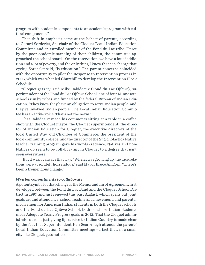program with academic components to an academic program with cultural components."

That shift in emphasis came at the behest of parents, according to Gerard Sorderlet, Sr., chair of the Cloquet Local Indian Education Committee and an enrolled member of the Fond du Lac tribe. Upset by the poor academic standing of their children, the committee approached the school board. "On the reservation, we have a lot of addiction and a lot of poverty, and the only thing I know that can change that cycle," Sorderlet said, "is education." The parent concerns coincided with the opportunity to pilot the Response to Intervention process in 2005, which was what led Churchill to develop the Intervention Block Schedule.

"Cloquet gets it," said Mike Rabideaux (Fond du Lac Ojibwe), superintendent of the Fond du Lac Ojibwe School, one of four Minnesota schools run by tribes and funded by the federal Bureau of Indian Education. "They know they have an obligation to serve Indian people, and they've involved Indian people. The Local Indian Education Committee has an active voice. That's not the norm."

That Rabideaux made his comments sitting at a table in a coffee shop with the Cloquet mayor, the Cloquet superintendent, the director of Indian Education for Cloquet, the executive directors of the local United Way and Chamber of Commerce, the president of the local community college, and the director of the St. Scholastica Native teacher training program gave his words credence. Natives and non-Natives do seem to be collaborating in Cloquet to a degree that isn't seen everywhere.

 But it wasn't always that way. "When I was growing up, the race relations were absolutely horrendous," said Mayor Bruce Ahlgren. "There's been a tremendous change."

#### *Written commitments to collaborate*

A potent symbol of that change is the Memorandum of Agreement, first developed between the Fond du Lac Band and the Cloquet School District in 1997 and just renewed this past August, which spells out joint goals around attendance, school readiness, achievement, and parental involvement for American Indian students in both the Cloquet schools and the Fond du Lac Ojibwe School, both of whose Indian students made Adequate Yearly Progress goals in 2012. That the Cloquet administrators aren't just giving lip-service to Indian Country is made clear by the fact that Superintendent Ken Scarbrough attends the parents' Local Indian Education Committee meetings—a fact that, in a small city like Cloquet, gets noticed.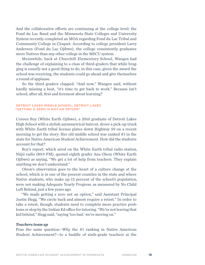And the collaborative efforts are continuing at the college level: the Fond du Lac Band and the Minnesota State Colleges and University System recently completed an MOA regarding Fond du Lac Tribal and Community College in Cloquet. According to college president Larry Anderson (Fond du Lac Ojibwe), the college consistently graduates more Natives than any other college in the MSCU system.

Meanwhile, back at Churchill Elementary School, Wangen had the challenge of explaining to a class of third-graders that while bragging is *usually* not a good thing to do, in this case, given the award the school was receiving, the students could go ahead and give themselves a round of applause.

So the third graders clapped. "And now," Wangen said, without hardly missing a beat, "it's time to get back to work." Because isn't school, after all, first and foremost about learning?

#### **DETROIT LAKES MIDDLE SCHOOL, DETROIT LAKES "GETTING A ZERO IS NOT AN OPTION"**

Coreen Roy (White Earth Ojibwe), a 2010 graduate of Detroit Lakes High School with a stylish asymmetrical haircut, drove a pick-up truck with White Earth tribal license plates down Highway 59 on a recent morning to get the story: Her old middle school was ranked #1 in the state for Native American Student Achievement. How did the students account for that?

Roy's report, which aired on the White Earth tribal radio station, Niijii radio (89.9 FM), quoted eighth grader Ana Olson (White Earth Ojibwe) as saying, "We get a lot of help from teachers. They explain anything we don't understand."

Olson's observation goes to the heart of a culture change at the school, which is in one of the poorest counties in the state and where Native students, who make up 12 percent of the school's population, were not making Adequate Yearly Progress, as measured by No Child Left Behind, just a few years ago.

"We made getting a zero not an option," said Assistant Principal Justin Hegg. "We circle back and almost require a retest." In order to take a retest, though, students need to complete more practice problems or stop by the Indian Ed office for tutoring. "We're not leaving that kid behind," Hegg said, "saying 'too bad,' we're moving on."

#### *Teachers team up*

Pose the same question—Why the #1 ranking in Native American Student Achievement?—to a huddle of sixth-grade teachers at the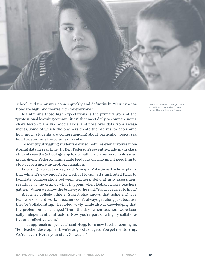

school, and the answer comes quickly and definitively: "Our expectations are high, and they're high for everyone."

Maintaining those high expectations is the primary work of the "professional learning communities" that meet daily to compare notes, share lesson plans via Google Docs, and pore over data from assessments, some of which the teachers create themselves, to determine how much students are comprehending about particular topics, say, how to determine the volume of a cube.

To identify struggling students early sometimes even involves monitoring data in real time. In Ben Pederson's seventh-grade math class, students use the Schoology app to do math problems on school-issued iPads, giving Pederson immediate feedback on who might need him to stop by for a more in-depth explanation.

Focusing in on data is key, said Principal Mike Sukert, who explains that while it's easy enough for a school to *claim* it's instituted PLCs to facilitate collaboration between teachers, delving into assessment results is at the crux of what happens when Detroit Lakes teachers gather. "When we know the bulls-eye," he said, "it's a lot easier to hit it."

A former college athlete, Sukert also knows that achieving true teamwork is hard work. "Teachers don't always get along just because they're 'collaborating,'" he noted wryly, while also acknowledging that the profession has changed "from the days when teachers were basically independent contractors. Now you're part of a highly collaborative and reflective team."

That approach is "perfect," said Hegg, for a new teacher coming in. "For teacher development, we're as good as it gets. You get mentorship. We're never: 'Here's your stuff. Go teach.'"

Detroit Lakes High School graduate and White Earth enrollee Coreen Roy and her mother, Tara Mason.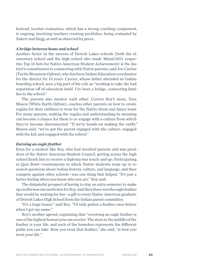Instead, teacher evaluation, which has a strong coaching component, is ongoing, involving teachers creating portfolios, being evaluated by Sukert and Hegg, as well as observed by peers.

#### *A bridge between home and school*

Another factor in the success of Detroit Lakes schools (both the elementary school and the high school also made MinnCAN's respective Top 10 lists for Native American Student Achievement) is the district's commitment to connecting with Native parents, said Joe Carrier (Turtle Mountain Ojibwe), who has been Indian Education coordinator for the district for 15 years. Carrier, whose father attended an Indian boarding school, sees a big part of his role as "working to take the bad reputation off of education itself. I've been a bridge, connecting families to the school."

The parents also mentor each other. Coreen Roy's mom, Tara Mason (White Earth Ojibwe), coaches other parents on how to create regalia for their children to wear for the Native drum and dance team. For many parents, making the regalia and understanding its meaning can become a chance for them to re-engage with a culture from which they've become disconnected. "If we're hands-on making the outfit," Mason said, "we've got the parent engaged with the culture, engaged with the kid, and engaged with the school."

#### *Earning an eagle feather*

Even for a student like Roy, who had involved parents and was president of the Native American Student Council, getting across the high school finish line to receive a diploma was touch-and-go. Participating in Quiz Bowl—tournaments in which Native students team up to research questions about Indian history, culture, and language, and then compete against other schools—was one thing that helped. "It's just a better feeling when you know who you are," Roy said.

The distasteful prospect of having to stay an extra semester to make up credits was one motivator for Roy. And then there was the eagle feather that would be waiting for her—a gift to every Native American graduate of Detroit Lakes High School from the Indian parent committee.

"It's a huge honor," said Roy. "I'd only gotten a feather once before when I got my name."

Roy's mother agreed, explaining that "receiving an eagle feather is one of the highest honors you can receive. The stem in the middle of the feather is your life, and each of the branches represents the different paths you can take. How you treat that feather," she said, "is how you treat your life."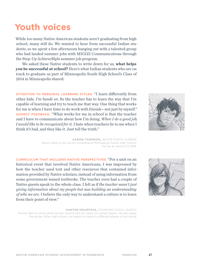## **Youth voices**

While too many Native American students aren't graduating from high school, many still do. We wanted to hear from successful Indian students, so we spent a few afternoons hanging out with a talented group who had landed summer jobs with MIGIZI Communications through the Step-Up AchieveMpls summer job program.

We asked these Native students to write down for us, **what helps you be successful at school?** Here's what Indian students who are on track to graduate as part of Minneapolis South High School's Class of 2014 in Minneapolis shared:

**ATTENTION TO PERSONAL LEARNING STYLES.** "I learn differently from other kids. *I'm hands on*. So the teacher has to learn the way that I'm capable of learning and try to teach me that way. One thing that works for me is when I have time to do work with friends—not just by myself." **HONEST FEEDBACK.** "What works for me in school is that the teacher and I have to communicate about how I'm doing. *When I do a good job, I would like to be recognized for it.* I hate when teachers lie to me when I think it's bad, and they like it. Just tell the truth."



**AARON THOMSON,** WHITE EARTH OJIBWE Aaron plans to go out for wrestling at Minneapolis South High School. He has an above 3.0 GPA.

**CURRICULUM THAT INCLUDES NATIVE PERSPECTIVES.** "For a unit on an historical event that involved Native Americans, I was impressed by how the teacher used text and other resources that contained information provided by Native scholars, instead of using information from some government-issued textbooks. The teacher even had a couple of Native guests speak to the whole class. I felt as if *the teacher wasn't just giving information about my people but was building an understanding of who we are.* I believe the only way to understand a culture is to learn from their point of view."

**HUNTER MOUNTAIN,** STANDING ROCK LAKOTA Hunter likes to write short stories, poems and his views on certain topics. He also plays the guitar. After high school, he hopes to travel to different places in the world.

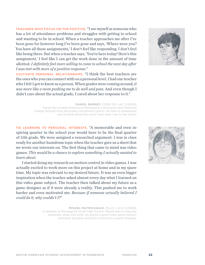**TEACHERS WHO FOCUS ON THE POSITIVE.** "I see myself as someone who has a lot of attendance problems and struggles with getting to school and wanting to be in school. When a teacher approaches me after I've been gone for however long I've been gone and says, 'Where were you? You have all these assignments,' I don't feel like responding. I don't feel like being there. But when a teacher says, 'You're here today! Here's this assignment,' I feel like I can get the work done in the amount of time allotted. *I definitely feel more willing to come to school the next day after I was met with more of a positive response.*"

**CULTIVATE PERSONAL RELATIONSHIPS.** "I think the best teachers are the ones who you can connect with on a personal level. I had one teacher who I felt I got to know as a person. When grades were coming around, *it was more like a mom pushing me to do well and pass.* And even though I didn't care about the actual grade, I cared about her response to it."

> **DANIEL BARNEY,** FOND DU LAC OJIBWE Daniel has studied drawing at Minneapolis Community and Technical College through Post-Secondary Enrollment Option. He likes to skateboard and to think about the world "and what I am to the world."

**TIE LEARNING TO PERSONAL INTERESTS.** "A memorable and even inspiring quarter in the school year would have to be the final quarter of 11th grade. We were assigned a researched argument. I was in class ready for another humdrum topic when the teacher gave us a sheet that we wrote our interests on. The first thing that came to mind was video games. *This would be a chance to explore something I actually wanted to learn about.* 

I started doing my research on motion control in video games. I was actually excited to work more on this project at home and in my spare time. My topic was relevant to my desired future. It was an even bigger inspiration when the teacher asked almost every day what I learned on this video game subject. The teacher then talked about my future as a game designer as if it were already a reality. This pushed me to work harder and even motivated me: *Because if someone actually believed I could do it, why couldn't I?*"

> **MIGUEL MAYEN-EAGLE,** MILLE LACS OJIBWE A wrestler at Minneapolis South High School, Miguel likes to play the keyboard, draw, and write. He enjoys a good video game session whenever possible and plans to become a game designer.



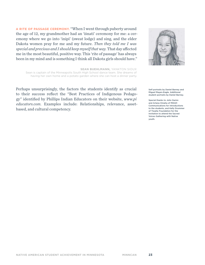**A RITE OF PASSAGE CEREMONY.** "When I went through puberty around the age of 12, my grandmother had an 'isnati' ceremony for me: a ceremony where we go into 'inipi' (sweat lodge) and sing, and the elder Dakota women pray for me and my future. *Then they told me I was special and precious and I should keep myself that way.* That day affected me in the most beautiful, positive way. This 'rite of passage' has always been in my mind and is something I think all Dakota girls should have."

**SEAN BUEHLMANN,** YANKTON SIOUX Sean is captain of the Minneapolis South High School dance team. She dreams of having her own home and a potato garden where she can host a dinner party.

Perhaps unsurprisingly, the factors the students identify as crucial to their success reflect the "Best Practices of Indigenous Pedagogy" identified by Phillips Indian Educators on their website, *www.pi educators.com*. Examples include: Relationships, relevance, assetbased, and cultural competency.



Self portraits by Daniel Barney and Miguel Mayen-Eagle. Additional student portraits by Daniel Barney.

Special thanks to John Gwinn and Arlana Omaha of MIGIZI Communications for introductions to the students, and Kelly Drummer of Tiwahe Foundation for the invitation to attend the Sacred Voices Gathering with Native youth.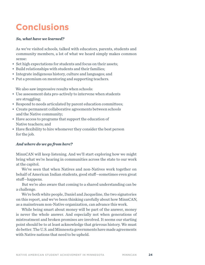# **Conclusions**

#### *So, what have we learned?*

As we've visited schools, talked with educators, parents, students and community members, a lot of what we heard simply makes common sense:

- Set high expectations for students and focus on their assets;
- Build relationships with students and their families;
- Integrate indigenous history, culture and languages; and
- Put a premium on mentoring and supporting teachers.

We also saw impressive results when schools:

- Use assessment data pro-actively to intervene when students are struggling;
- Respond to needs articulated by parent education committees;
- Create permanent collaborative agreements between schools and the Native community;
- Have access to programs that support the education of Native teachers; and
- Have flexibility to hire whomever they consider the best person for the job.

#### *And where do we go from here?*

MinnCAN will keep listening. And we'll start exploring how we might bring what we're hearing in communities across the state to our work at the capitol.

We've seen that when Natives and non-Natives work together on behalf of American Indian students, good stuff—sometimes even great stuff—happens.

But we're also aware that coming to a shared understanding can be a challenge.

We're both white people, Daniel and Jacqueline, the two signatories on this report, and we've been thinking carefully about how MinnCAN, as a mainstream non-Native organization, can advance this work.

While being smart about money will be part of the answer, money is never the whole answer. And especially not when generations of mistreatment and broken promises are involved. It seems our starting point should be to at least acknowledge that grievous history. We must do better. The U. S. and Minnesota governments have made agreements with Native nations that need to be upheld.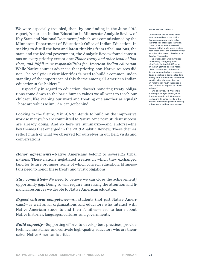We were especially troubled, then, by one finding in the June 2013 report, 'American Indian Education in Minnesota: Analytic Review of Key State and National Documents,' which was commissioned by the Minnesota Department of Education's Office of Indian Education. In seeking to distill the best and latest thinking from tribal nations, the state and the federal government, the Analytic Review found consensus on every priority except one: *Honor treaty and other legal obligations, and fulfill trust responsibilities for American Indian education*. While Native sources advanced that priority, non-Native sources did not. The Analytic Review identifies "a need to build a common understanding of the importance of this theme among all American Indian education stake holders."

Especially in regard to education, doesn't honoring treaty obligations come down to the basic human values we all want to teach our children, like keeping our word and treating one another as equals? Those are values MinnCAN can get behind.

Looking to the future, MinnCAN intends to build on the impressive work so many who are committed to Native American student success are already doing. And so here we summarize—and endorse—the key themes that emerged in the 2013 Analytic Review. These themes reflect much of what we observed for ourselves in our field visits and conversations:

*Honor agreements*—Native Americans belong to sovereign tribal nations. These nations negotiated treaties in which they exchanged land for future promises, some of which concern education. Minnesotans need to honor these treaty and trust obligations.

*Stay committed*—We need to believe we can close the achievement/ opportunity gap. Doing so will require increasing the attention and financial resources we devote to Native American education.

*Expect cultural competence*—All students (not just Native Americans)—as well as all organizations and educators who interact with Native American students and their families—need to learn about Native histories, languages, cultures, and governments.

*Build capacity*—Supporting efforts to develop best practices, provide technical assistance, and cultivate high-quality educators who are themselves Native American is critical.

#### **WHAT ABOUT CASINOS?**

One solution we've heard often from non-Natives is the notion that casino money could solve the financial challenges in Indian Country. What we understand, though, is that while some casinos near urban areas are extraordinarily lucrative, that doesn't hold true in Greater Minnesota.

So what about wealthy tribes subsidizing struggling ones? MinnPost's in-depth 2012 series on Indian gaming quoted Karen Diver, chairwoman of the Fond du Lac band, offering a response. Diver identified a double standard arising about the idea of communal wealth: what she described as an "egalitarian myth that people tend to want to impose on Indian nations."

She observed, "If Wisconsin is having a budget deficit, they don't necessarily ask Minnesota to chip in." In other words, tribal nations are sovereign: their primary obligation is to their own people.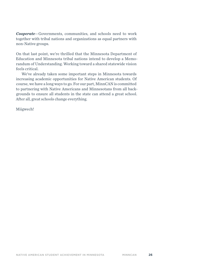*Cooperate*—Governments, communities, and schools need to work together with tribal nations and organizations as equal partners with non-Native groups.

On that last point, we're thrilled that the Minnesota Department of Education and Minnesota tribal nations intend to develop a Memorandum of Understanding. Working toward a shared statewide vision feels critical.

We've already taken some important steps in Minnesota towards increasing academic opportunities for Native American students. Of course, we have a long ways to go. For our part, MinnCAN is committed to partnering with Native Americans and Minnesotans from all backgrounds to ensure all students in the state can attend a great school. After all, great schools change everything.

Miigwech!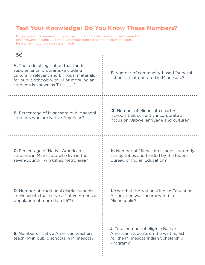### **Test Your Knowledge: Do You Know These Numbers?**

Do you know the answers to these questions about Indian education in Minnesota? Find answers on page 29. Or cut up the question cards and the number cards for a small group to discuss and match.

| ℀<br>A. The federal legislation that funds<br>supplemental programs (including<br>culturally relevant and bilingual materials)<br>for public schools with 10 or more Indian<br>students is known as Title ___? | <b>F.</b> Number of community-based "survival<br>schools" that operated in Minnesota?                                           |
|----------------------------------------------------------------------------------------------------------------------------------------------------------------------------------------------------------------|---------------------------------------------------------------------------------------------------------------------------------|
| <b>B.</b> Percentage of Minnesota public school<br>students who are Native American?                                                                                                                           | <b>G.</b> Number of Minnesota charter<br>schools that currently incorporate a<br>focus on Ojibwe language and culture?          |
| C. Percentage of Native American<br>students in Minnesota who live in the<br>seven-county Twin Cities metro area?                                                                                              | H. Number of Minnesota schools currently<br>run by tribes and funded by the federal<br><b>Bureau of Indian Education?</b>       |
| <b>D.</b> Number of traditional district schools<br>in Minnesota that serve a Native American<br>population of more than 25%?                                                                                  | <b>I.</b> Year that the National Indian Education<br>Association was incorporated in<br>Minneapolis?                            |
| <b>E.</b> Number of Native American teachers<br>teaching in public schools in Minnesota?                                                                                                                       | J. Total number of eligible Native<br>American students on the waiting list<br>for the Minnesota Indian Scholarship<br>Program? |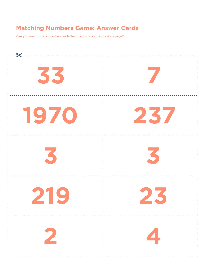### **Matching Numbers Game: Answer Cards**

Can you match these numbers with the questions on the previous page?

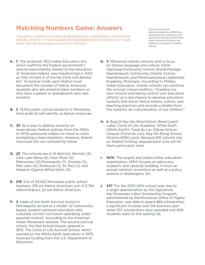### **Matching Numbers Game: Answers**

This game is based on an exercise developed by Louise Matson (White Earth Ojibwe), director of Youth Leadership Development for the Division of Indian Work, Greater Minneapolis Council of Churches.

Data sources include *education.state.mn.us/MDE/Data, aimovement.org, pieducators.com, bie.edu and niea.org* and Minnesota Indian Scholarship Program and Minnesota Association of Charter Schools.

- **A. 7** The landmark 1972 Indian Education Act, which reaffirms the Federal government's special responsibility related to the education of American Indians, was reauthorized in 2001 as Title VII Part A of the No Child Left Behind Act. To receive funds, each district must document the number of Native American students who are enrolled tribal members or who have a parent or grandparent who was enrolled.
- **B. 2** 19,352 public school students in Minnesota from preK–12 self-identify as Native American.
- **C. 33** As a way to address poverty on reservations, federal policies from the 1950s to 1970s pressured Indians to move to cities, prompting a mass migration. However, federal resources did not consistently follow.
- **D. 23** The schools are in 10 districts: Bemidji (3), Cass Lake-Bena (4), Deer River (2), Mahnomen (2),Minneapolis (1), Onamia (2), Red Lake (4), Redwood (1), St. Paul (1), and Waubun-Ogema-White Earth (3).
- **E. 219** Out of 53,422 Minnesota public school teachers, 219 are Native American; out of 2,784 administrators, 22 are Native American.
- **F. 3** Heart of the Earth Survival School in Minneapolis served as a model "of communitybased, student-centered education with culturally correct curriculum operating under parental control," according to the American Indian Movement website. The second survival school, the Red School House, opened in 1972. The Circle of Life Survival School, which opened on the White Earth reservation in 1975, received funding from the U.S. Department of Education.
- **G. 3** Minnesota charter schools with a focus on Ojibwe language and culture: Oshki Ogimaag Community School, Grand Portage; Naytahwaush Community Charter School, Naytahwaush; and Minsinaakwaang Leadership Academy, McGregor. According to Phillips Indian Educators, charter schools can continue the survival school tradition: "Creating our own schools and taking control over education offer[s] us a rare chance to develop education systems that honor Native history, culture, and teaching practices and provide a shelter from the systemic de-culturalization of our children."
- **H. 4** Bug-O-Nay-Ge-Shig School, Bena (Leech Lake); Circle of Life Academy, White Earth (White Earth); Fond du Lac Ojibwe School, Cloquet (Fond du Lac); Nay-Ah-Shing School, Onamia (Mille Lacs). Because BIE schools rely on federal funding, sequestration cuts will hit them particularly hard.
- **I. 1970** The largest and oldest Indian education organization, NIEA focuses on advocacy, research, and capacity building. It hosts an annual national convention as well as a policy summit in Washington, DC.
- **J. 237** For the 2013–2014 school year, due to a larger appropriation by the legislature, the Minnesota Indian Scholarship Program, administered by the Minnesota Office of Higher Education, was able to award 868 scholarships, a significant increase over the previous year when 537 scholarships were awarded and 609 students were on the waiting list.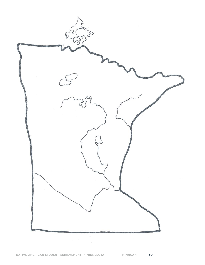